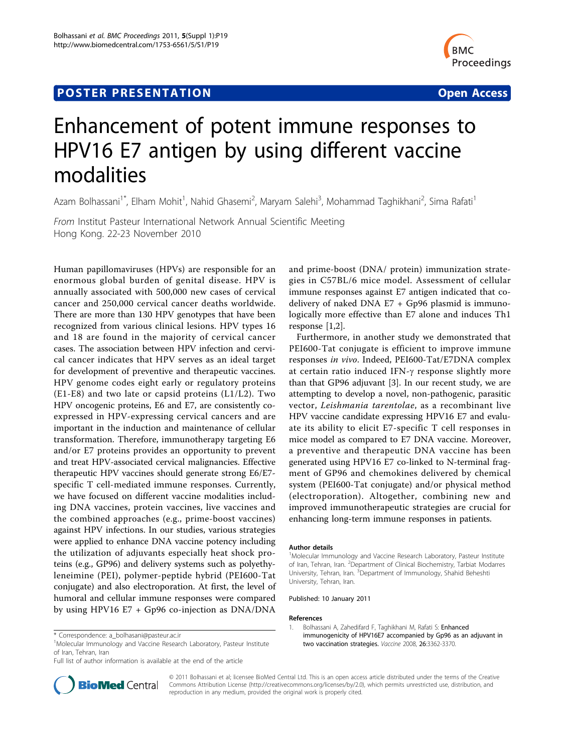# **POSTER PRESENTATION CONSUMING THE SERVICE SERVICE SERVICES**



# Enhancement of potent immune responses to HPV16 E7 antigen by using different vaccine modalities

Azam Bolhassani<sup>1\*</sup>, Elham Mohit<sup>1</sup>, Nahid Ghasemi<sup>2</sup>, Maryam Salehi<sup>3</sup>, Mohammad Taghikhani<sup>2</sup>, Sima Rafati<sup>1</sup>

From Institut Pasteur International Network Annual Scientific Meeting Hong Kong. 22-23 November 2010

Human papillomaviruses (HPVs) are responsible for an enormous global burden of genital disease. HPV is annually associated with 500,000 new cases of cervical cancer and 250,000 cervical cancer deaths worldwide. There are more than 130 HPV genotypes that have been recognized from various clinical lesions. HPV types 16 and 18 are found in the majority of cervical cancer cases. The association between HPV infection and cervical cancer indicates that HPV serves as an ideal target for development of preventive and therapeutic vaccines. HPV genome codes eight early or regulatory proteins (E1-E8) and two late or capsid proteins (L1/L2). Two HPV oncogenic proteins, E6 and E7, are consistently coexpressed in HPV-expressing cervical cancers and are important in the induction and maintenance of cellular transformation. Therefore, immunotherapy targeting E6 and/or E7 proteins provides an opportunity to prevent and treat HPV-associated cervical malignancies. Effective therapeutic HPV vaccines should generate strong E6/E7 specific T cell-mediated immune responses. Currently, we have focused on different vaccine modalities including DNA vaccines, protein vaccines, live vaccines and the combined approaches (e.g., prime-boost vaccines) against HPV infections. In our studies, various strategies were applied to enhance DNA vaccine potency including the utilization of adjuvants especially heat shock proteins (e.g., GP96) and delivery systems such as polyethyleneimine (PEI), polymer-peptide hybrid (PEI600-Tat conjugate) and also electroporation. At first, the level of humoral and cellular immune responses were compared by using HPV16 E7 + Gp96 co-injection as DNA/DNA



Furthermore, in another study we demonstrated that PEI600-Tat conjugate is efficient to improve immune responses in vivo. Indeed, PEI600-Tat/E7DNA complex at certain ratio induced IFN-g response slightly more than that GP96 adjuvant [[3\]](#page-1-0). In our recent study, we are attempting to develop a novel, non-pathogenic, parasitic vector, Leishmania tarentolae, as a recombinant live HPV vaccine candidate expressing HPV16 E7 and evaluate its ability to elicit E7-specific T cell responses in mice model as compared to E7 DNA vaccine. Moreover, a preventive and therapeutic DNA vaccine has been generated using HPV16 E7 co-linked to N-terminal fragment of GP96 and chemokines delivered by chemical system (PEI600-Tat conjugate) and/or physical method (electroporation). Altogether, combining new and improved immunotherapeutic strategies are crucial for enhancing long-term immune responses in patients.

#### Author details

<sup>1</sup>Molecular Immunology and Vaccine Research Laboratory, Pasteur Institute of Iran, Tehran, Iran. <sup>2</sup>Department of Clinical Biochemistry, Tarbiat Modarres University, Tehran, Iran. <sup>3</sup>Department of Immunology, Shahid Beheshti University, Tehran, Iran.

Published: 10 January 2011

#### References

1. Bolhassani A, Zahedifard F, Taghikhani M, Rafati S: [Enhanced](http://www.ncbi.nlm.nih.gov/pubmed/18471945?dopt=Abstract) [immunogenicity of HPV16E7 accompanied by Gp96 as an adjuvant in](http://www.ncbi.nlm.nih.gov/pubmed/18471945?dopt=Abstract) [two vaccination strategies.](http://www.ncbi.nlm.nih.gov/pubmed/18471945?dopt=Abstract) Vaccine 2008, 26:3362-3370.



© 2011 Bolhassani et al; licensee BioMed Central Ltd. This is an open access article distributed under the terms of the Creative Commons Attribution License [\(http://creativecommons.org/licenses/by/2.0](http://creativecommons.org/licenses/by/2.0)), which permits unrestricted use, distribution, and reproduction in any medium, provided the original work is properly cited.

<sup>\*</sup> Correspondence: [a\\_bolhasani@pasteur.ac.ir](mailto:a_bolhasani@pasteur.ac.ir)

<sup>&</sup>lt;sup>1</sup>Molecular Immunology and Vaccine Research Laboratory, Pasteur Institute of Iran, Tehran, Iran

Full list of author information is available at the end of the article